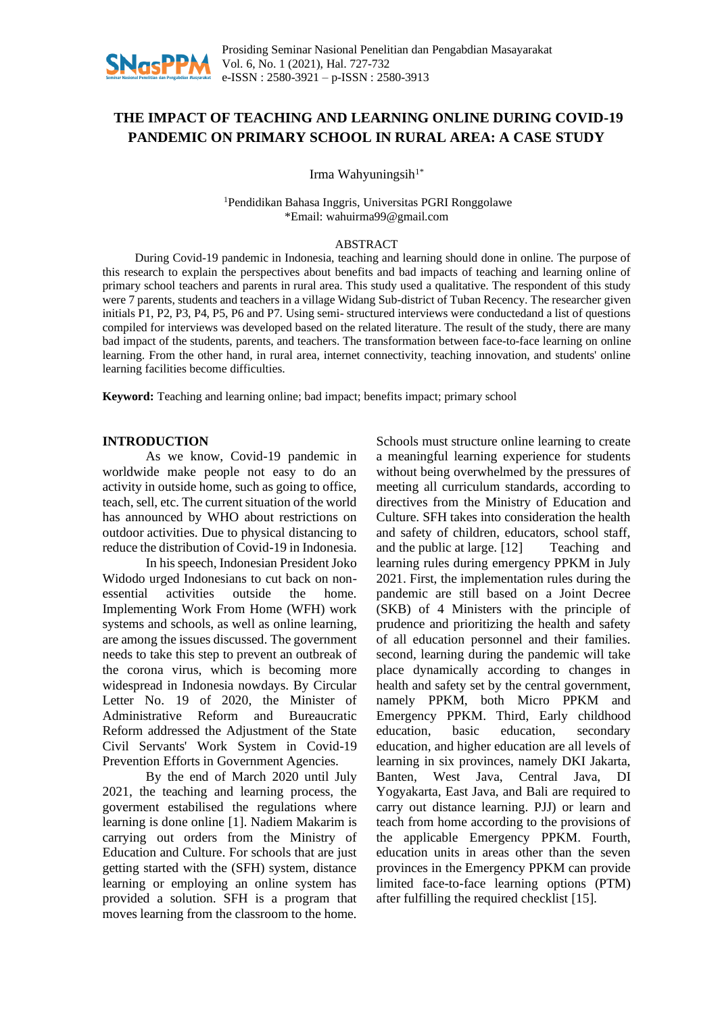

# **THE IMPACT OF TEACHING AND LEARNING ONLINE DURING COVID-19 PANDEMIC ON PRIMARY SCHOOL IN RURAL AREA: A CASE STUDY**

Irma Wahyuningsih $1^*$ 

<sup>1</sup>Pendidikan Bahasa Inggris, Universitas PGRI Ronggolawe \*Email: wahuirma99@gmail.com

#### ABSTRACT

During Covid-19 pandemic in Indonesia, teaching and learning should done in online. The purpose of this research to explain the perspectives about benefits and bad impacts of teaching and learning online of primary school teachers and parents in rural area. This study used a qualitative. The respondent of this study were 7 parents, students and teachers in a village Widang Sub-district of Tuban Recency. The researcher given initials P1, P2, P3, P4, P5, P6 and P7. Using semi- structured interviews were conductedand a list of questions compiled for interviews was developed based on the related literature. The result of the study, there are many bad impact of the students, parents, and teachers. The transformation between face-to-face learning on online learning. From the other hand, in rural area, internet connectivity, teaching innovation, and students' online learning facilities become difficulties.

**Keyword:** Teaching and learning online; bad impact; benefits impact; primary school

#### **INTRODUCTION**

As we know, Covid-19 pandemic in worldwide make people not easy to do an activity in outside home, such as going to office, teach, sell, etc. The current situation of the world has announced by WHO about restrictions on outdoor activities. Due to physical distancing to reduce the distribution of Covid-19 in Indonesia.

In his speech, Indonesian President Joko Widodo urged Indonesians to cut back on nonessential activities outside the home. Implementing Work From Home (WFH) work systems and schools, as well as online learning, are among the issues discussed. The government needs to take this step to prevent an outbreak of the corona virus, which is becoming more widespread in Indonesia nowdays. By Circular Letter No. 19 of 2020, the Minister of Administrative Reform and Bureaucratic Reform addressed the Adjustment of the State Civil Servants' Work System in Covid-19 Prevention Efforts in Government Agencies.

By the end of March 2020 until July 2021, the teaching and learning process, the goverment estabilised the regulations where learning is done online [1]. Nadiem Makarim is carrying out orders from the Ministry of Education and Culture. For schools that are just getting started with the (SFH) system, distance learning or employing an online system has provided a solution. SFH is a program that moves learning from the classroom to the home. Schools must structure online learning to create a meaningful learning experience for students without being overwhelmed by the pressures of meeting all curriculum standards, according to directives from the Ministry of Education and Culture. SFH takes into consideration the health and safety of children, educators, school staff, and the public at large. [12] Teaching and learning rules during emergency PPKM in July 2021. First, the implementation rules during the pandemic are still based on a Joint Decree (SKB) of 4 Ministers with the principle of prudence and prioritizing the health and safety of all education personnel and their families. second, learning during the pandemic will take place dynamically according to changes in health and safety set by the central government, namely PPKM, both Micro PPKM and Emergency PPKM. Third, Early childhood education, basic education, secondary education, and higher education are all levels of learning in six provinces, namely DKI Jakarta, Banten, West Java, Central Java, DI Yogyakarta, East Java, and Bali are required to carry out distance learning. PJJ) or learn and teach from home according to the provisions of the applicable Emergency PPKM. Fourth, education units in areas other than the seven provinces in the Emergency PPKM can provide limited face-to-face learning options (PTM) after fulfilling the required checklist [15].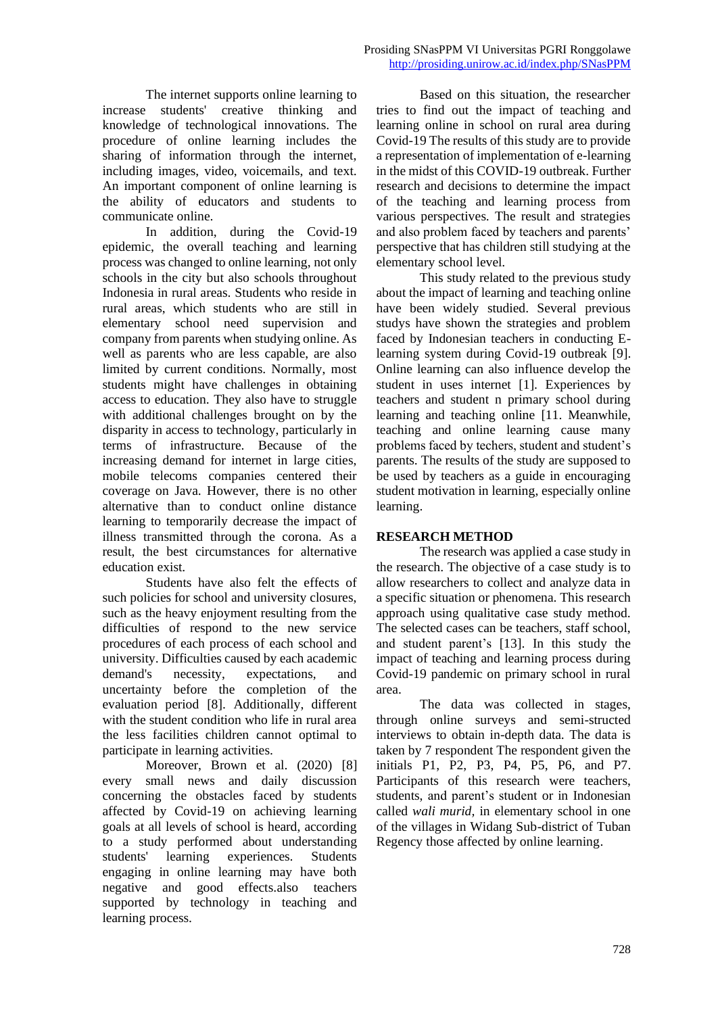The internet supports online learning to increase students' creative thinking and knowledge of technological innovations. The procedure of online learning includes the sharing of information through the internet, including images, video, voicemails, and text. An important component of online learning is the ability of educators and students to communicate online.

In addition, during the Covid-19 epidemic, the overall teaching and learning process was changed to online learning, not only schools in the city but also schools throughout Indonesia in rural areas. Students who reside in rural areas, which students who are still in elementary school need supervision and company from parents when studying online. As well as parents who are less capable, are also limited by current conditions. Normally, most students might have challenges in obtaining access to education. They also have to struggle with additional challenges brought on by the disparity in access to technology, particularly in terms of infrastructure. Because of the increasing demand for internet in large cities, mobile telecoms companies centered their coverage on Java. However, there is no other alternative than to conduct online distance learning to temporarily decrease the impact of illness transmitted through the corona. As a result, the best circumstances for alternative education exist.

Students have also felt the effects of such policies for school and university closures, such as the heavy enjoyment resulting from the difficulties of respond to the new service procedures of each process of each school and university. Difficulties caused by each academic demand's necessity, expectations, and uncertainty before the completion of the evaluation period [8]. Additionally, different with the student condition who life in rural area the less facilities children cannot optimal to participate in learning activities.

Moreover, Brown et al. (2020) [8] every small news and daily discussion concerning the obstacles faced by students affected by Covid-19 on achieving learning goals at all levels of school is heard, according to a study performed about understanding students' learning experiences. Students engaging in online learning may have both negative and good effects.also teachers supported by technology in teaching and learning process.

Based on this situation, the researcher tries to find out the impact of teaching and learning online in school on rural area during Covid-19 The results of this study are to provide a representation of implementation of e-learning in the midst of this COVID-19 outbreak. Further research and decisions to determine the impact of the teaching and learning process from various perspectives. The result and strategies and also problem faced by teachers and parents' perspective that has children still studying at the elementary school level.

This study related to the previous study about the impact of learning and teaching online have been widely studied. Several previous studys have shown the strategies and problem faced by Indonesian teachers in conducting Elearning system during Covid-19 outbreak [9]. Online learning can also influence develop the student in uses internet [1]. Experiences by teachers and student n primary school during learning and teaching online [11. Meanwhile, teaching and online learning cause many problems faced by techers, student and student's parents. The results of the study are supposed to be used by teachers as a guide in encouraging student motivation in learning, especially online learning.

### **RESEARCH METHOD**

The research was applied a case study in the research. The objective of a case study is to allow researchers to collect and analyze data in a specific situation or phenomena. This research approach using qualitative case study method. The selected cases can be teachers, staff school, and student parent's [13]. In this study the impact of teaching and learning process during Covid-19 pandemic on primary school in rural area.

The data was collected in stages, through online surveys and semi-structed interviews to obtain in-depth data. The data is taken by 7 respondent The respondent given the initials P1, P2, P3, P4, P5, P6, and P7. Participants of this research were teachers, students, and parent's student or in Indonesian called *wali murid,* in elementary school in one of the villages in Widang Sub-district of Tuban Regency those affected by online learning.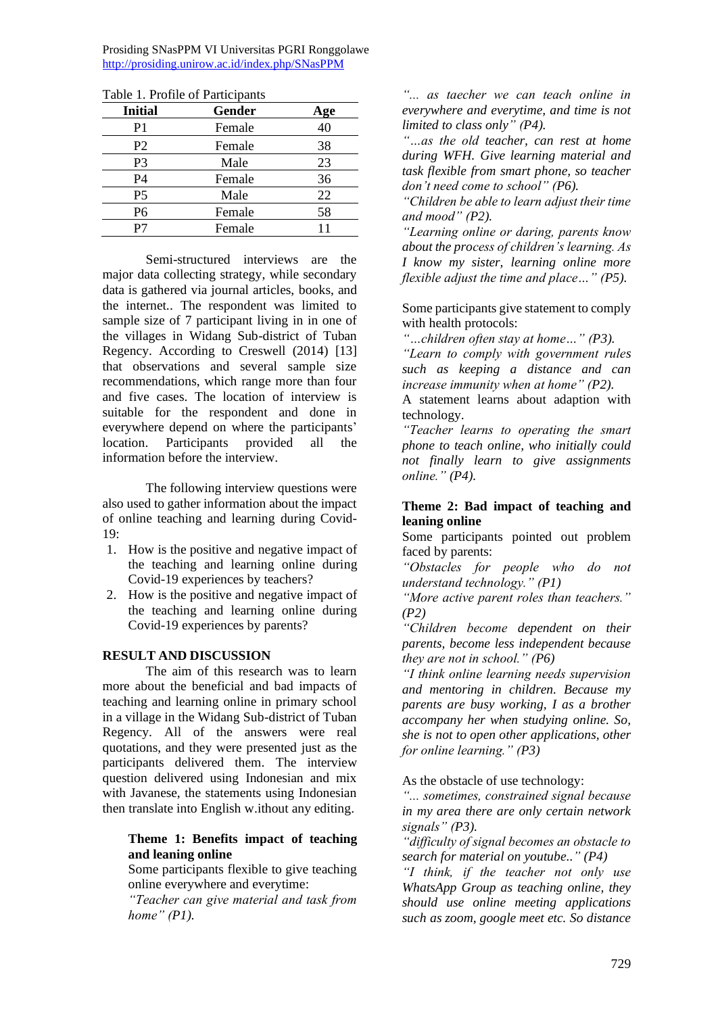Prosiding SNasPPM VI Universitas PGRI Ronggolawe <http://prosiding.unirow.ac.id/index.php/SNasPPM>

| <b>Initial</b> | Gender | Age |
|----------------|--------|-----|
| P1             | Female | 40  |
| P <sub>2</sub> | Female | 38  |
| P <sub>3</sub> | Male   | 23  |
| P <sub>4</sub> | Female | 36  |
| P <sub>5</sub> | Male   | 22  |
| P <sub>6</sub> | Female | 58  |
| P7             | Female | 11  |
|                |        |     |

Table 1. Profile of Participants

Semi-structured interviews are the major data collecting strategy, while secondary data is gathered via journal articles, books, and the internet.. The respondent was limited to sample size of 7 participant living in in one of the villages in Widang Sub-district of Tuban Regency. According to Creswell (2014) [13] that observations and several sample size recommendations, which range more than four and five cases. The location of interview is suitable for the respondent and done in everywhere depend on where the participants' location. Participants provided all the information before the interview.

The following interview questions were also used to gather information about the impact of online teaching and learning during Covid-19:

- 1. How is the positive and negative impact of the teaching and learning online during Covid-19 experiences by teachers?
- 2. How is the positive and negative impact of the teaching and learning online during Covid-19 experiences by parents?

### **RESULT AND DISCUSSION**

The aim of this research was to learn more about the beneficial and bad impacts of teaching and learning online in primary school in a village in the Widang Sub-district of Tuban Regency. All of the answers were real quotations, and they were presented just as the participants delivered them. The interview question delivered using Indonesian and mix with Javanese, the statements using Indonesian then translate into English w.ithout any editing.

### **Theme 1: Benefits impact of teaching and leaning online**

Some participants flexible to give teaching online everywhere and everytime:

*"Teacher can give material and task from home" (P1).*

*"... as taecher we can teach online in everywhere and everytime, and time is not limited to class only" (P4).*

*"…as the old teacher, can rest at home during WFH. Give learning material and task flexible from smart phone, so teacher don't need come to school" (P6).*

*"Children be able to learn adjust their time and mood" (P2).*

*"Learning online or daring, parents know about the process of children's learning. As I know my sister, learning online more flexible adjust the time and place…" (P5).*

Some participants give statement to comply with health protocols:

*"…children often stay at home…" (P3).*

*"Learn to comply with government rules such as keeping a distance and can increase immunity when at home" (P2).* 

A statement learns about adaption with technology.

*"Teacher learns to operating the smart phone to teach online, who initially could not finally learn to give assignments online." (P4).* 

## **Theme 2: Bad impact of teaching and leaning online**

Some participants pointed out problem faced by parents:

*"Obstacles for people who do not understand technology." (P1)*

*"More active parent roles than teachers." (P2)*

*"Children become dependent on their parents, become less independent because they are not in school." (P6)*

*"I think online learning needs supervision and mentoring in children. Because my parents are busy working, I as a brother accompany her when studying online. So, she is not to open other applications, other for online learning." (P3)*

As the obstacle of use technology:

*"... sometimes, constrained signal because in my area there are only certain network signals" (P3).*

*"difficulty of signal becomes an obstacle to search for material on youtube.." (P4)*

*"I think, if the teacher not only use WhatsApp Group as teaching online, they should use online meeting applications such as zoom, google meet etc. So distance*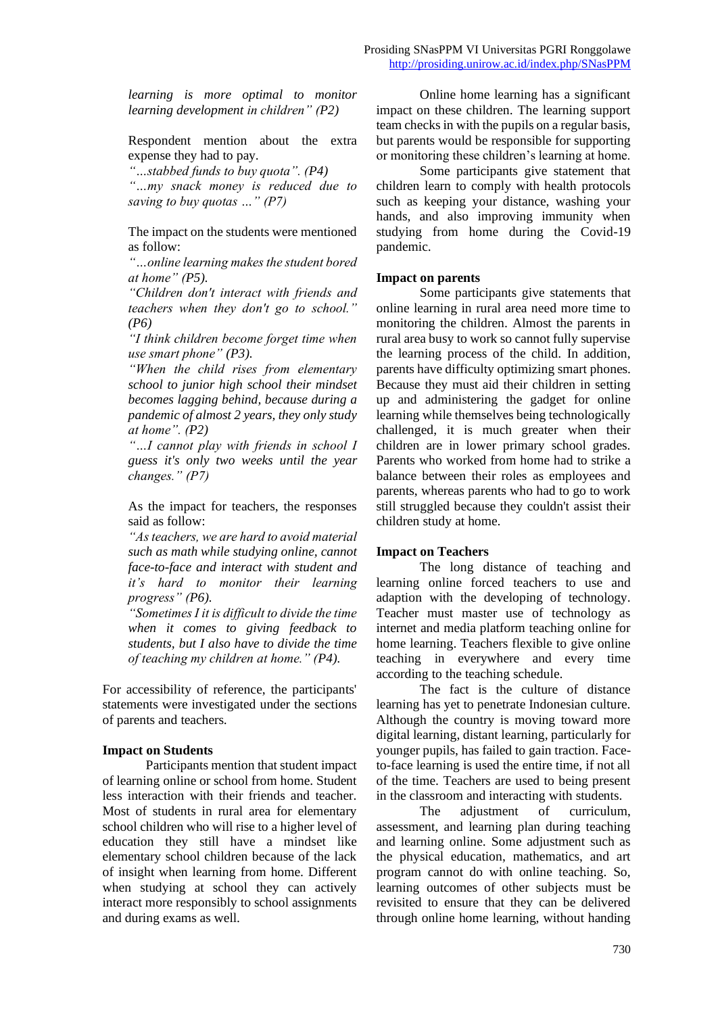*learning is more optimal to monitor learning development in children" (P2)*

Respondent mention about the extra expense they had to pay.

*"…stabbed funds to buy quota". (P4)*

*"…my snack money is reduced due to saving to buy quotas …" (P7)*

The impact on the students were mentioned as follow:

*"…online learning makes the student bored at home" (P5).*

*"Children don't interact with friends and teachers when they don't go to school." (P6)*

*"I think children become forget time when use smart phone" (P3).*

*"When the child rises from elementary school to junior high school their mindset becomes lagging behind, because during a pandemic of almost 2 years, they only study at home". (P2)*

*"…I cannot play with friends in school I guess it's only two weeks until the year changes." (P7)*

As the impact for teachers, the responses said as follow:

*"As teachers, we are hard to avoid material such as math while studying online, cannot face-to-face and interact with student and it's hard to monitor their learning progress" (P6).*

*"Sometimes I it is difficult to divide the time when it comes to giving feedback to students, but I also have to divide the time of teaching my children at home." (P4).* 

For accessibility of reference, the participants' statements were investigated under the sections of parents and teachers.

#### **Impact on Students**

Participants mention that student impact of learning online or school from home. Student less interaction with their friends and teacher. Most of students in rural area for elementary school children who will rise to a higher level of education they still have a mindset like elementary school children because of the lack of insight when learning from home. Different when studying at school they can actively interact more responsibly to school assignments and during exams as well.

Online home learning has a significant impact on these children. The learning support team checks in with the pupils on a regular basis, but parents would be responsible for supporting or monitoring these children's learning at home.

Some participants give statement that children learn to comply with health protocols such as keeping your distance, washing your hands, and also improving immunity when studying from home during the Covid-19 pandemic.

#### **Impact on parents**

Some participants give statements that online learning in rural area need more time to monitoring the children. Almost the parents in rural area busy to work so cannot fully supervise the learning process of the child. In addition, parents have difficulty optimizing smart phones. Because they must aid their children in setting up and administering the gadget for online learning while themselves being technologically challenged, it is much greater when their children are in lower primary school grades. Parents who worked from home had to strike a balance between their roles as employees and parents, whereas parents who had to go to work still struggled because they couldn't assist their children study at home.

#### **Impact on Teachers**

The long distance of teaching and learning online forced teachers to use and adaption with the developing of technology. Teacher must master use of technology as internet and media platform teaching online for home learning. Teachers flexible to give online teaching in everywhere and every time according to the teaching schedule.

The fact is the culture of distance learning has yet to penetrate Indonesian culture. Although the country is moving toward more digital learning, distant learning, particularly for younger pupils, has failed to gain traction. Faceto-face learning is used the entire time, if not all of the time. Teachers are used to being present in the classroom and interacting with students.

The adjustment of curriculum, assessment, and learning plan during teaching and learning online. Some adjustment such as the physical education, mathematics, and art program cannot do with online teaching. So, learning outcomes of other subjects must be revisited to ensure that they can be delivered through online home learning, without handing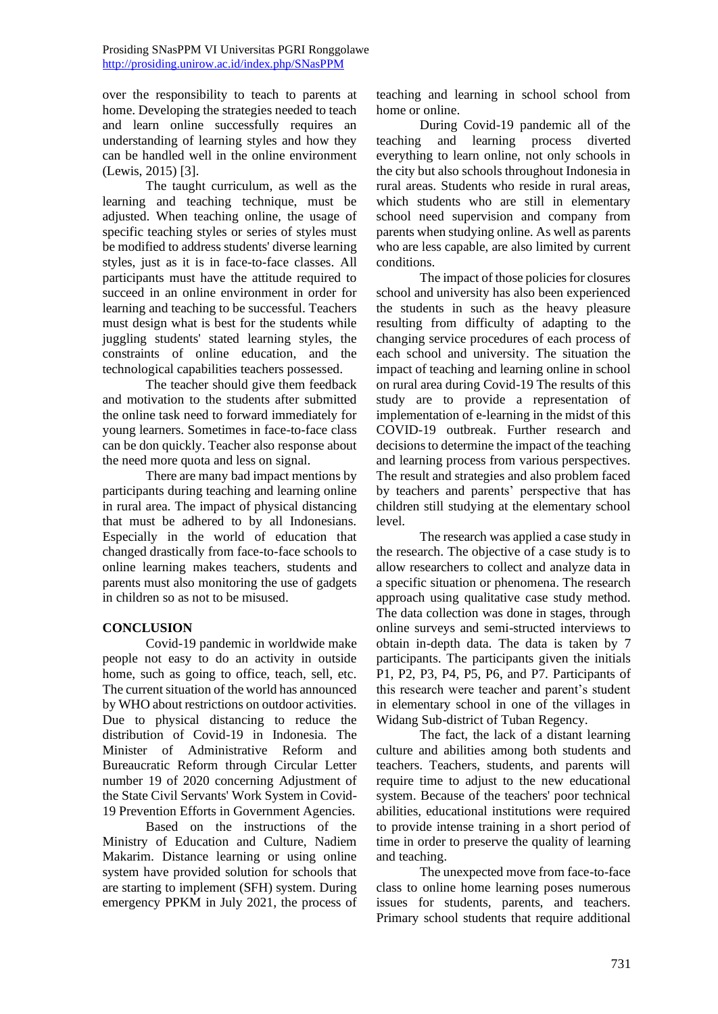over the responsibility to teach to parents at home. Developing the strategies needed to teach and learn online successfully requires an understanding of learning styles and how they can be handled well in the online environment (Lewis, 2015) [3].

The taught curriculum, as well as the learning and teaching technique, must be adjusted. When teaching online, the usage of specific teaching styles or series of styles must be modified to address students' diverse learning styles, just as it is in face-to-face classes. All participants must have the attitude required to succeed in an online environment in order for learning and teaching to be successful. Teachers must design what is best for the students while juggling students' stated learning styles, the constraints of online education, and the technological capabilities teachers possessed.

The teacher should give them feedback and motivation to the students after submitted the online task need to forward immediately for young learners. Sometimes in face-to-face class can be don quickly. Teacher also response about the need more quota and less on signal.

There are many bad impact mentions by participants during teaching and learning online in rural area. The impact of physical distancing that must be adhered to by all Indonesians. Especially in the world of education that changed drastically from face-to-face schools to online learning makes teachers, students and parents must also monitoring the use of gadgets in children so as not to be misused.

### **CONCLUSION**

Covid-19 pandemic in worldwide make people not easy to do an activity in outside home, such as going to office, teach, sell, etc. The current situation of the world has announced by WHO about restrictions on outdoor activities. Due to physical distancing to reduce the distribution of Covid-19 in Indonesia. The Minister of Administrative Reform and Bureaucratic Reform through Circular Letter number 19 of 2020 concerning Adjustment of the State Civil Servants' Work System in Covid-19 Prevention Efforts in Government Agencies.

Based on the instructions of the Ministry of Education and Culture, Nadiem Makarim. Distance learning or using online system have provided solution for schools that are starting to implement (SFH) system. During emergency PPKM in July 2021, the process of

teaching and learning in school school from home or online.

During Covid-19 pandemic all of the teaching and learning process diverted everything to learn online, not only schools in the city but also schools throughout Indonesia in rural areas. Students who reside in rural areas, which students who are still in elementary school need supervision and company from parents when studying online. As well as parents who are less capable, are also limited by current conditions.

The impact of those policies for closures school and university has also been experienced the students in such as the heavy pleasure resulting from difficulty of adapting to the changing service procedures of each process of each school and university. The situation the impact of teaching and learning online in school on rural area during Covid-19 The results of this study are to provide a representation of implementation of e-learning in the midst of this COVID-19 outbreak. Further research and decisions to determine the impact of the teaching and learning process from various perspectives. The result and strategies and also problem faced by teachers and parents' perspective that has children still studying at the elementary school level.

The research was applied a case study in the research. The objective of a case study is to allow researchers to collect and analyze data in a specific situation or phenomena. The research approach using qualitative case study method. The data collection was done in stages, through online surveys and semi-structed interviews to obtain in-depth data. The data is taken by 7 participants. The participants given the initials P1, P2, P3, P4, P5, P6, and P7. Participants of this research were teacher and parent's student in elementary school in one of the villages in Widang Sub-district of Tuban Regency.

The fact, the lack of a distant learning culture and abilities among both students and teachers. Teachers, students, and parents will require time to adjust to the new educational system. Because of the teachers' poor technical abilities, educational institutions were required to provide intense training in a short period of time in order to preserve the quality of learning and teaching.

The unexpected move from face-to-face class to online home learning poses numerous issues for students, parents, and teachers. Primary school students that require additional